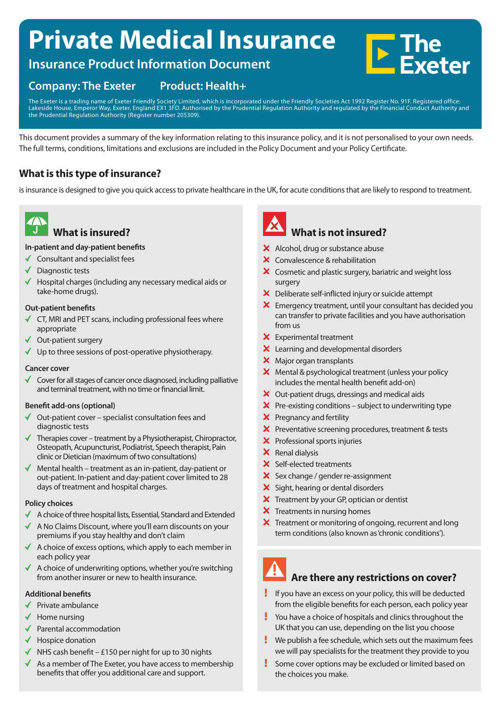# **Private Medical Insurance**



# **Insurance Product Information Document**

# **Company: The Exeter Product: Health+**

The Exeter is a trading name of Exeter Friendly Society Limited, which is incorporated under the Friendly Societies Act 1992 Register No. 91F. Registered office: Lakeside House, Emperor Way, Exeter, England EX1 3FD. Authorised by the Prudential Regulation Authority and regulated by the Financial Conduct Authority and the Prudential Regulation Authority (Register number 205309).

This document provides a summary of the key information relating to this insurance policy, and it is not personalised to your own needs. The full terms, conditions, limitations and exclusions are included in the Policy Document and your Policy Certificate.

# **What is this type of insurance?**

is insurance is designed to give you quick access to private healthcare in the UK, for acute conditions that are likely to respond to treatment.



# **What is insured?**

#### **In-patient and day-patient benefits**

- $\checkmark$  Consultant and specialist fees
- Diagnostic tests
- Hospital charges (including any necessary medical aids or take-home drugs).

#### **Out-patient benefits**

- CT, MRI and PET scans, including professional fees where appropriate
- Out-patient surgery
- $\checkmark$  Up to three sessions of post-operative physiotherapy.

#### **Cancer cover**

 Cover for all stages of cancer once diagnosed, including palliative and terminal treatment, with no time or financial limit.

#### **Benefit add-ons (optional)**

- $\checkmark$  Out-patient cover – specialist consultation fees and diagnostic tests
- $\blacktriangleright$  Therapies cover treatment by a Physiotherapist, Chiropractor, Osteopath, Acupuncturist, Podiatrist, Speech therapist, Pain clinic or Dietician (maximum of two consultations)
- $\blacklozenge$  Mental health treatment as an in-patient, day-patient or out-patient. In-patient and day-patient cover limited to 28 days of treatment and hospital charges.

#### **Policy choices**

- $\blacklozenge$  A choice of three hospital lists, Essential, Standard and Extended
- $\triangleleft$  A No Claims Discount, where you'll earn discounts on your premiums if you stay healthy and don't claim
- A choice of excess options, which apply to each member in each policy year
- A choice of underwriting options, whether you're switching  $\checkmark$ from another insurer or new to health insurance.

## **Additional benefits**

- $\blacktriangleright$  Private ambulance
- $\checkmark$  Home nursing
- ◆ Parental accommodation
- $\checkmark$  Hospice donation
- $\blacklozenge$  NHS cash benefit £150 per night for up to 30 nights
- $\triangleleft$  As a member of The Exeter, you have access to membership benefits that offer you additional care and support.



# **What is not insured?**

- X Alcohol, drug or substance abuse
- X Convalescence & rehabilitation
- X Cosmetic and plastic surgery, bariatric and weight loss surgery
- Deliberate self-inflicted injury or suicide attempt
- Emergency treatment, until your consultant has decided you can transfer to private facilities and you have authorisation from us
- $X$  Experimental treatment
- X Learning and developmental disorders
- X Major organ transplants
- $\boldsymbol{\times}$  Mental & psychological treatment (unless your policy includes the mental health benefit add-on)
- X Out-patient drugs, dressings and medical aids
- $\boldsymbol{\times}$  Pre-existing conditions subject to underwriting type
- **X** Pregnancy and fertility
- $\boldsymbol{\times}$  Preventative screening procedures, treatment & tests
- X Professional sports injuries
- X Renal dialysis
- X Self-elected treatments
- Sex change / gender re-assignment
- X Sight, hearing or dental disorders
- $\boldsymbol{\times}$  Treatment by your GP, optician or dentist
- $\times$  Treatments in nursing homes
- X Treatment or monitoring of ongoing, recurrent and long term conditions (also known as 'chronic conditions').

# **Are there any restrictions on cover?**

- If you have an excess on your policy, this will be deducted from the eligible benefits for each person, each policy year
- You have a choice of hospitals and clinics throughout the UK that you can use, depending on the list you choose
- Ţ We publish a fee schedule, which sets out the maximum fees we will pay specialists for the treatment they provide to you
- Ţ Some cover options may be excluded or limited based on the choices you make.